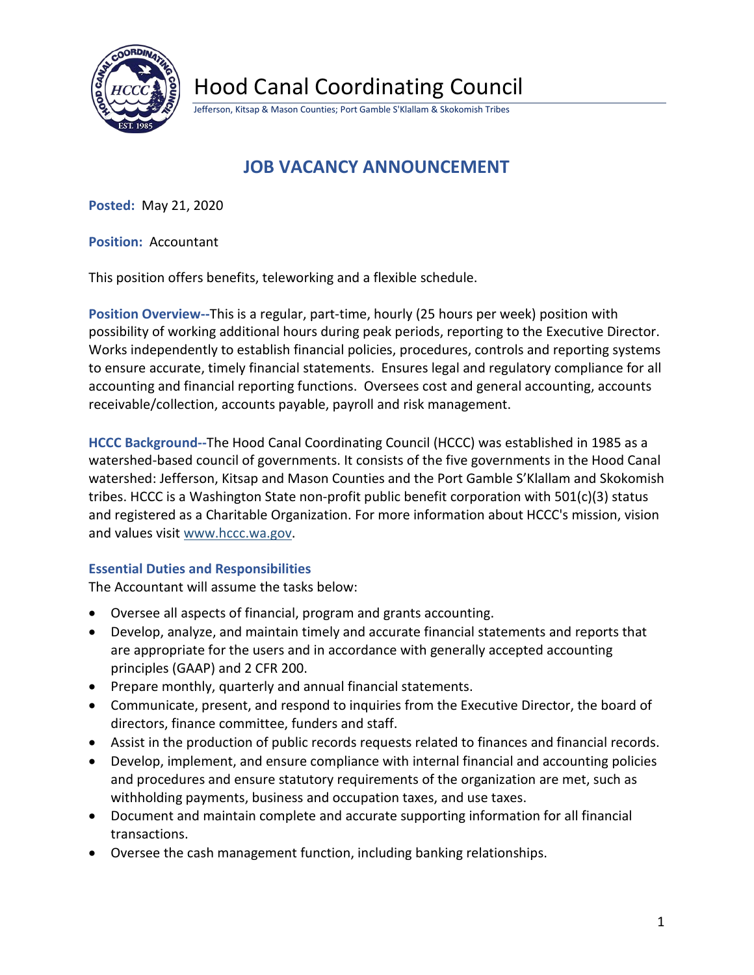

Hood Canal Coordinating Council

Jefferson, Kitsap & Mason Counties; Port Gamble S'Klallam & Skokomish Tribes

# **JOB VACANCY ANNOUNCEMENT**

**Posted:** May 21, 2020

**Position:** Accountant

This position offers benefits, teleworking and a flexible schedule.

**Position Overview--**This is a regular, part-time, hourly (25 hours per week) position with possibility of working additional hours during peak periods, reporting to the Executive Director. Works independently to establish financial policies, procedures, controls and reporting systems to ensure accurate, timely financial statements. Ensures legal and regulatory compliance for all accounting and financial reporting functions. Oversees cost and general accounting, accounts receivable/collection, accounts payable, payroll and risk management.

**HCCC Background--**The Hood Canal Coordinating Council (HCCC) was established in 1985 as a watershed-based council of governments. It consists of the five governments in the Hood Canal watershed: Jefferson, Kitsap and Mason Counties and the Port Gamble S'Klallam and Skokomish tribes. HCCC is a Washington State non-profit public benefit corporation with  $501(c)(3)$  status and registered as a Charitable Organization. For more information about HCCC's mission, vision and values visit [www.hccc.wa.gov.](http://www.hccc.wa.gov/)

# **Essential Duties and Responsibilities**

The Accountant will assume the tasks below:

- Oversee all aspects of financial, program and grants accounting.
- Develop, analyze, and maintain timely and accurate financial statements and reports that are appropriate for the users and in accordance with generally accepted accounting principles (GAAP) and 2 CFR 200.
- Prepare monthly, quarterly and annual financial statements.
- Communicate, present, and respond to inquiries from the Executive Director, the board of directors, finance committee, funders and staff.
- Assist in the production of public records requests related to finances and financial records.
- Develop, implement, and ensure compliance with internal financial and accounting policies and procedures and ensure statutory requirements of the organization are met, such as withholding payments, business and occupation taxes, and use taxes.
- Document and maintain complete and accurate supporting information for all financial transactions.
- Oversee the cash management function, including banking relationships.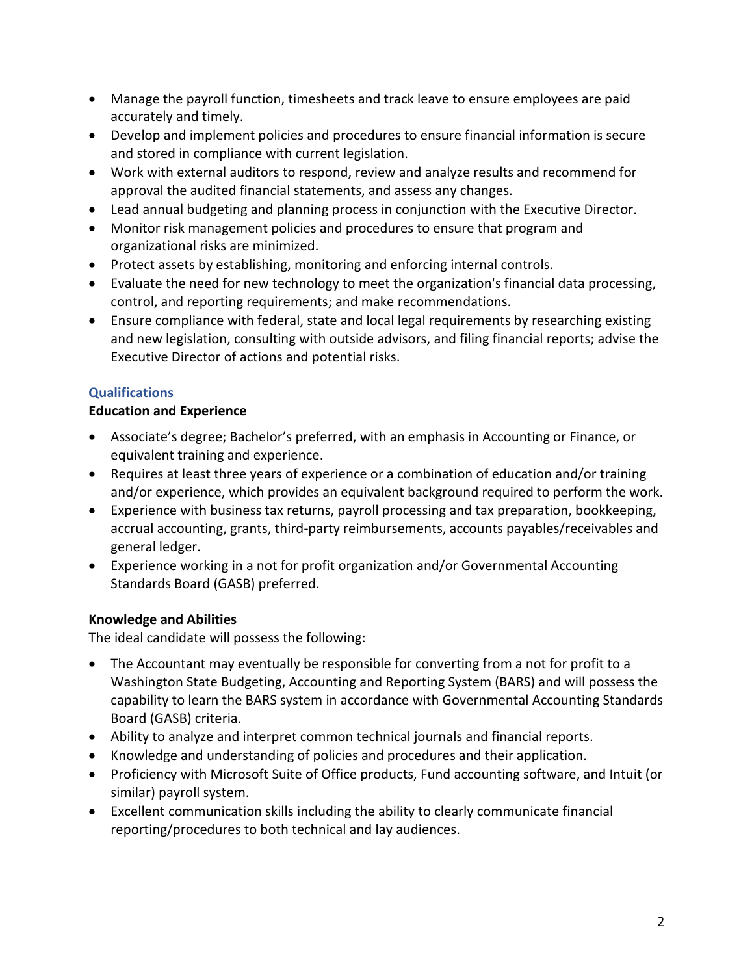- Manage the payroll function, timesheets and track leave to ensure employees are paid accurately and timely.
- Develop and implement policies and procedures to ensure financial information is secure and stored in compliance with current legislation.
- Work with external auditors to respond, review and analyze results and recommend for approval the audited financial statements, and assess any changes.
- Lead annual budgeting and planning process in conjunction with the Executive Director.
- Monitor risk management policies and procedures to ensure that program and organizational risks are minimized.
- Protect assets by establishing, monitoring and enforcing internal controls.
- Evaluate the need for new technology to meet the organization's financial data processing, control, and reporting requirements; and make recommendations.
- Ensure compliance with federal, state and local legal requirements by researching existing and new legislation, consulting with outside advisors, and filing financial reports; advise the Executive Director of actions and potential risks.

### **Qualifications**

#### **Education and Experience**

- Associate's degree; Bachelor's preferred, with an emphasis in Accounting or Finance, or equivalent training and experience.
- Requires at least three years of experience or a combination of education and/or training and/or experience, which provides an equivalent background required to perform the work.
- Experience with business tax returns, payroll processing and tax preparation, bookkeeping, accrual accounting, grants, third-party reimbursements, accounts payables/receivables and general ledger.
- Experience working in a not for profit organization and/or Governmental Accounting Standards Board (GASB) preferred.

# **Knowledge and Abilities**

The ideal candidate will possess the following:

- The Accountant may eventually be responsible for converting from a not for profit to a Washington State Budgeting, Accounting and Reporting System (BARS) and will possess the capability to learn the BARS system in accordance with Governmental Accounting Standards Board (GASB) criteria.
- Ability to analyze and interpret common technical journals and financial reports.
- Knowledge and understanding of policies and procedures and their application.
- Proficiency with Microsoft Suite of Office products, Fund accounting software, and Intuit (or similar) payroll system.
- Excellent communication skills including the ability to clearly communicate financial reporting/procedures to both technical and lay audiences.